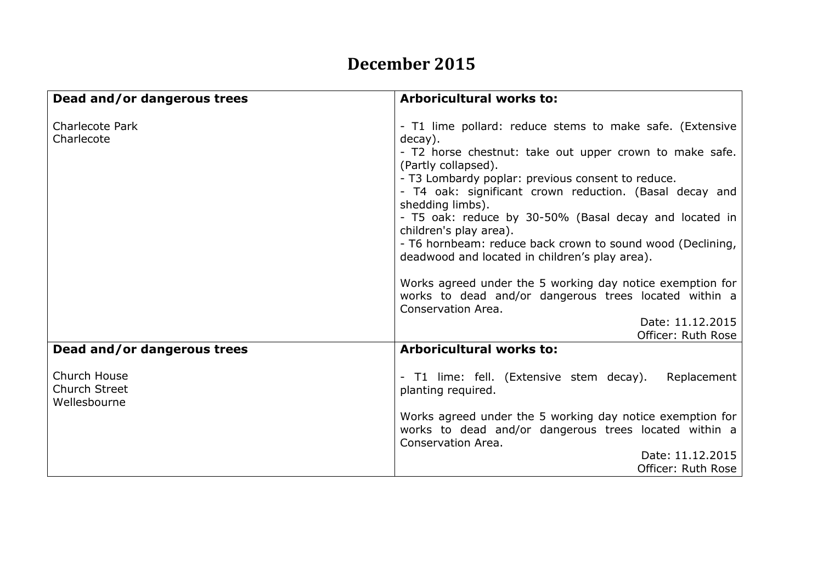## **December 2015**

| Dead and/or dangerous trees                          | <b>Arboricultural works to:</b>                                                                                                                                                                                                                                                                                                                                                                                                                                                                                                                                                                                                                                                     |
|------------------------------------------------------|-------------------------------------------------------------------------------------------------------------------------------------------------------------------------------------------------------------------------------------------------------------------------------------------------------------------------------------------------------------------------------------------------------------------------------------------------------------------------------------------------------------------------------------------------------------------------------------------------------------------------------------------------------------------------------------|
| <b>Charlecote Park</b><br>Charlecote                 | - T1 lime pollard: reduce stems to make safe. (Extensive<br>decay).<br>- T2 horse chestnut: take out upper crown to make safe.<br>(Partly collapsed).<br>- T3 Lombardy poplar: previous consent to reduce.<br>- T4 oak: significant crown reduction. (Basal decay and<br>shedding limbs).<br>- T5 oak: reduce by 30-50% (Basal decay and located in<br>children's play area).<br>- T6 hornbeam: reduce back crown to sound wood (Declining,<br>deadwood and located in children's play area).<br>Works agreed under the 5 working day notice exemption for<br>works to dead and/or dangerous trees located within a<br>Conservation Area.<br>Date: 11.12.2015<br>Officer: Ruth Rose |
| Dead and/or dangerous trees                          | <b>Arboricultural works to:</b>                                                                                                                                                                                                                                                                                                                                                                                                                                                                                                                                                                                                                                                     |
| Church House<br><b>Church Street</b><br>Wellesbourne | - T1 lime: fell. (Extensive stem decay).<br>Replacement<br>planting required.                                                                                                                                                                                                                                                                                                                                                                                                                                                                                                                                                                                                       |
|                                                      | Works agreed under the 5 working day notice exemption for<br>works to dead and/or dangerous trees located within a<br>Conservation Area.                                                                                                                                                                                                                                                                                                                                                                                                                                                                                                                                            |
|                                                      | Date: 11.12.2015<br>Officer: Ruth Rose                                                                                                                                                                                                                                                                                                                                                                                                                                                                                                                                                                                                                                              |